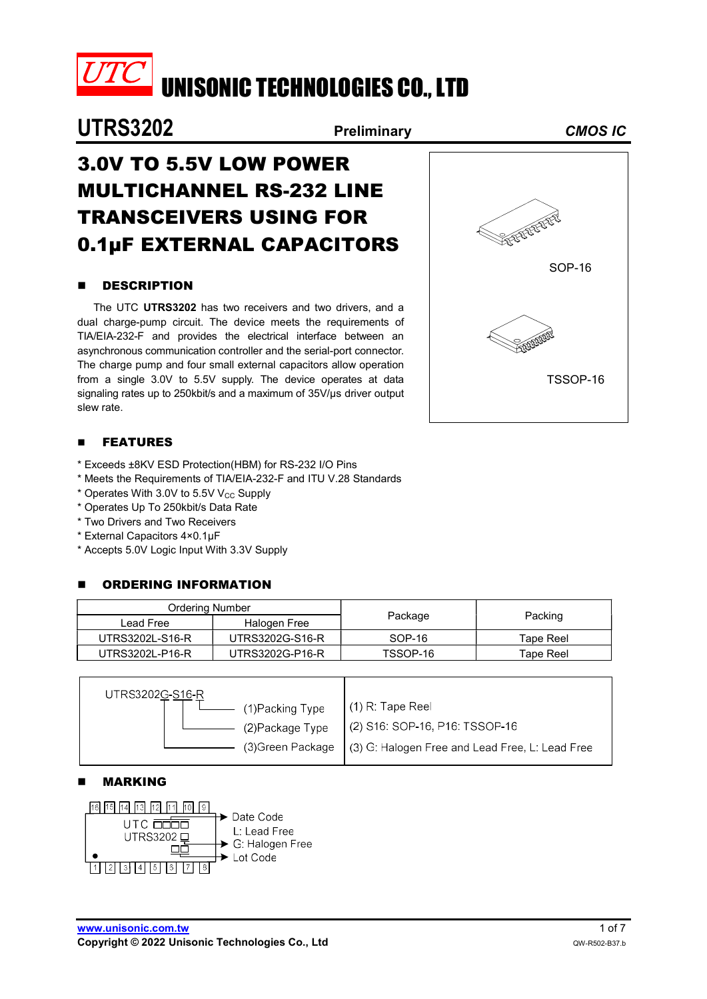

UNISONIC TECHNOLOGIES CO., LTD

# UTRS3202 Preliminary CMOS IC

# 3.0V TO 5.5V LOW POWER MULTICHANNEL RS-232 LINE TRANSCEIVERS USING FOR 0.1μF EXTERNAL CAPACITORS

#### **B** DESCRIPTION

The UTC UTRS3202 has two receivers and two drivers, and a dual charge-pump circuit. The device meets the requirements of TIA/EIA-232-F and provides the electrical interface between an asynchronous communication controller and the serial-port connector. The charge pump and four small external capacitors allow operation from a single 3.0V to 5.5V supply. The device operates at data signaling rates up to 250kbit/s and a maximum of 35V/μs driver output slew rate.

#### **FEATURES**

- \* Exceeds ±8KV ESD Protection(HBM) for RS-232 I/O Pins
- \* Meets the Requirements of TIA/EIA-232-F and ITU V.28 Standards
- $*$  Operates With 3.0V to 5.5V V<sub>CC</sub> Supply
- \* Operates Up To 250kbit/s Data Rate
- \* Two Drivers and Two Receivers
- \* External Capacitors 4×0.1μF
- \* Accepts 5.0V Logic Input With 3.3V Supply

#### **E** ORDERING INFORMATION

| <b>Ordering Number</b> |                 |          |           |
|------------------------|-----------------|----------|-----------|
| Lead Free              | Halogen Free    | Package  | Packing   |
| UTRS3202L-S16-R        | UTRS3202G-S16-R | SOP-16   | Tape Reel |
| UTRS3202L-P16-R        | UTRS3202G-P16-R | TSSOP-16 | Tape Reel |

| UTRS3202G-S16-R  |                                                                     |
|------------------|---------------------------------------------------------------------|
| (1) Packing Type | $(1)$ R: Tape Reel                                                  |
| (2) Package Type | $(2)$ S16: SOP-16, P16: TSSOP-16                                    |
|                  | (3) Green Package $(3)$ G: Halogen Free and Lead Free, L: Lead Free |
|                  |                                                                     |

#### MARKING



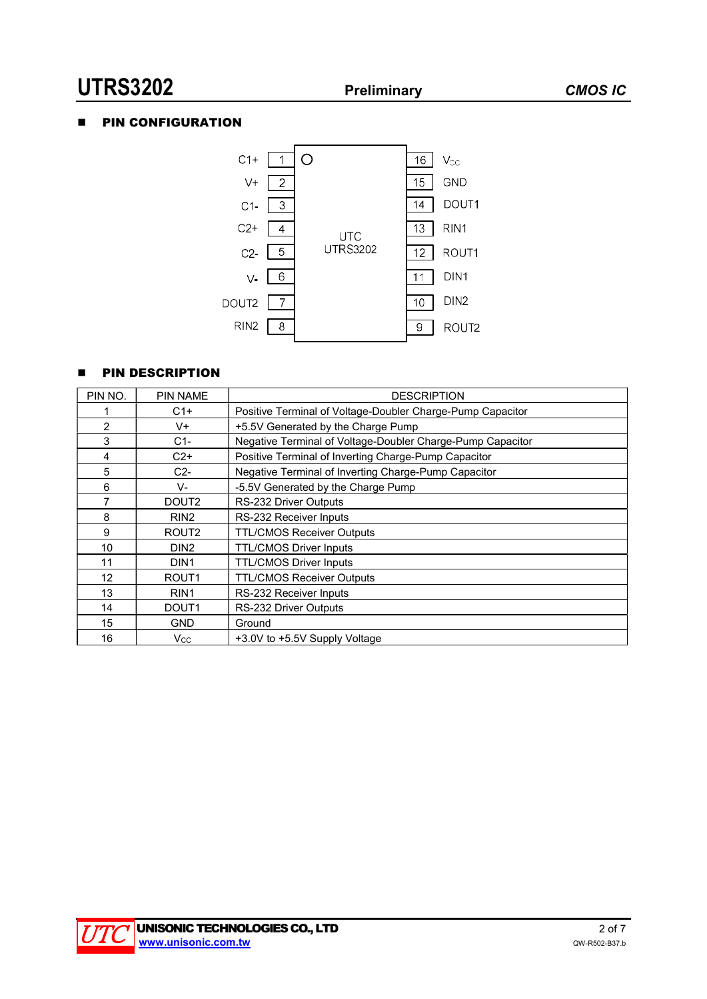# UTRS3202 Preliminary CMOS IC

## **PIN CONFIGURATION**



#### **PIN DESCRIPTION**

| PIN NO.        | <b>PIN NAME</b>   | <b>DESCRIPTION</b>                                         |
|----------------|-------------------|------------------------------------------------------------|
|                | C1+               | Positive Terminal of Voltage-Doubler Charge-Pump Capacitor |
| $\overline{2}$ | V+                | +5.5V Generated by the Charge Pump                         |
| 3              | $C1-$             | Negative Terminal of Voltage-Doubler Charge-Pump Capacitor |
| 4              | $C2+$             | Positive Terminal of Inverting Charge-Pump Capacitor       |
| 5              | $C2-$             | Negative Terminal of Inverting Charge-Pump Capacitor       |
| 6              | V-                | -5.5V Generated by the Charge Pump                         |
| 7              | DOUT <sub>2</sub> | RS-232 Driver Outputs                                      |
| 8              | RIN <sub>2</sub>  | RS-232 Receiver Inputs                                     |
| 9              | ROUT <sub>2</sub> | <b>TTL/CMOS Receiver Outputs</b>                           |
| 10             | DIN <sub>2</sub>  | <b>TTL/CMOS Driver Inputs</b>                              |
| 11             | DIN <sub>1</sub>  | <b>TTL/CMOS Driver Inputs</b>                              |
| 12             | ROUT <sub>1</sub> | <b>TTL/CMOS Receiver Outputs</b>                           |
| 13             | RIN <sub>1</sub>  | RS-232 Receiver Inputs                                     |
| 14             | DOUT <sub>1</sub> | RS-232 Driver Outputs                                      |
| 15             | <b>GND</b>        | Ground                                                     |
| 16             | $V_{\rm CC}$      | +3.0V to +5.5V Supply Voltage                              |

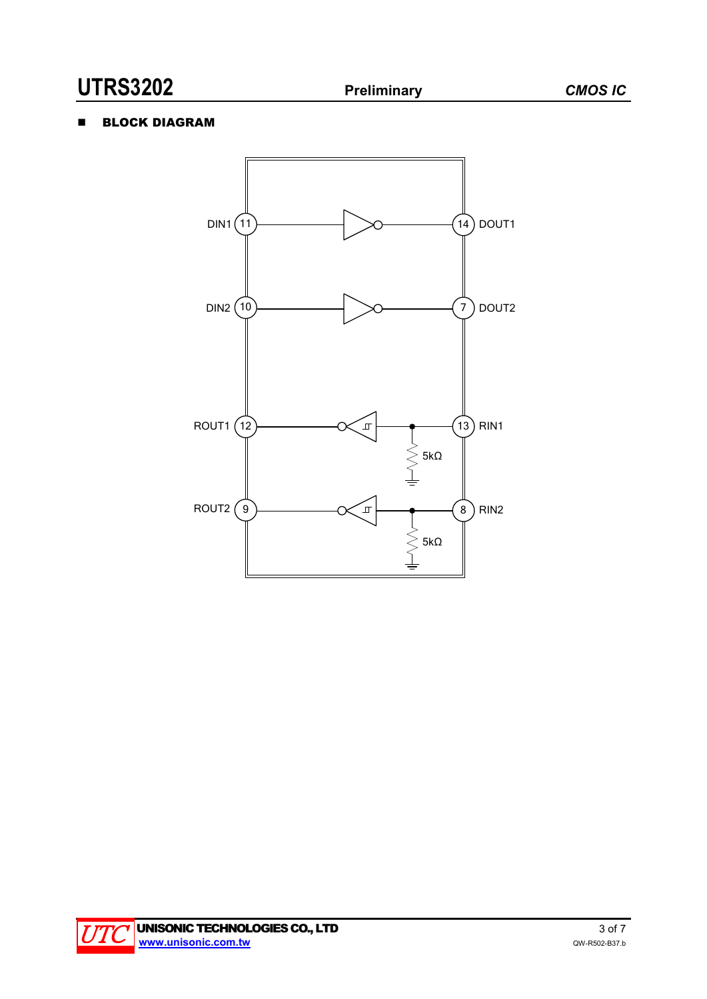## **BLOCK DIAGRAM**



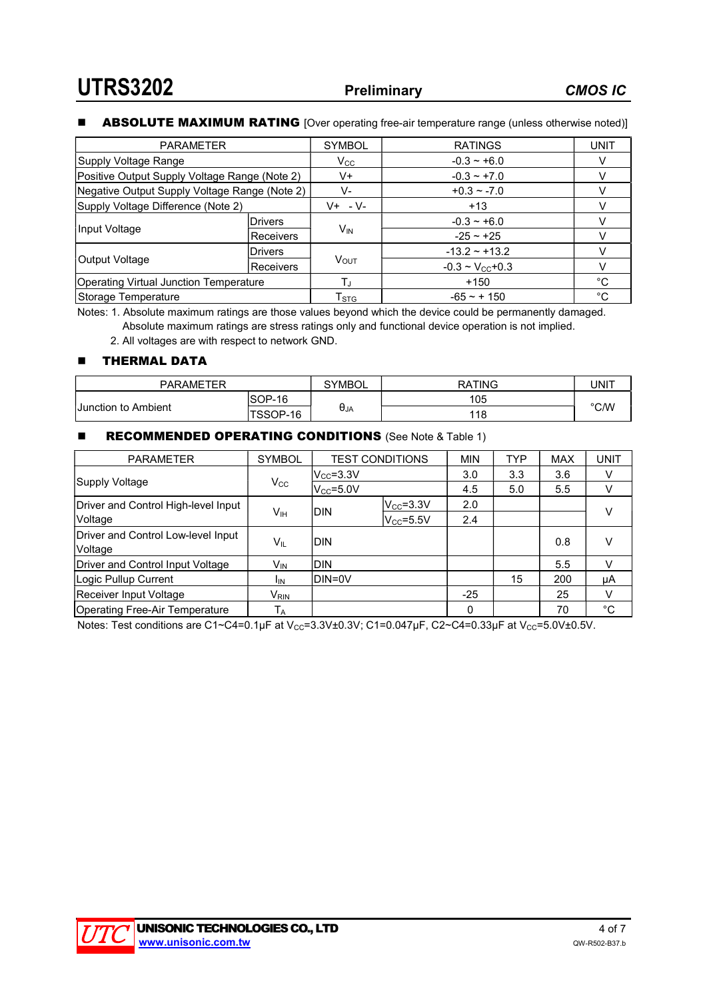#### **ABSOLUTE MAXIMUM RATING** [Over operating free-air temperature range (unless otherwise noted)]

| <b>PARAMETER</b>                              |                  | <b>SYMBOL</b>             | <b>RATINGS</b>                  | <b>UNIT</b> |
|-----------------------------------------------|------------------|---------------------------|---------------------------------|-------------|
| Supply Voltage Range                          |                  | $V_{\rm CC}$              | $-0.3 - +6.0$                   |             |
| Positive Output Supply Voltage Range (Note 2) |                  | V+                        | $-0.3 - +7.0$                   |             |
| Negative Output Supply Voltage Range (Note 2) |                  | V-                        | $+0.3 - 7.0$                    |             |
| Supply Voltage Difference (Note 2)            |                  | $V+ -V-$                  | $+13$                           |             |
|                                               | <b>IDrivers</b>  |                           | $-0.3 - +6.0$                   |             |
| Input Voltage                                 | <b>Receivers</b> | $V_{IN}$                  | $-25 - 125$                     |             |
|                                               | <b>Drivers</b>   |                           | $-13.2 - +13.2$                 |             |
| Output Voltage                                | Receivers        | <b>VOUT</b>               | $-0.3 \sim V_{\text{CC}} + 0.3$ |             |
| <b>Operating Virtual Junction Temperature</b> |                  | Tu                        | $+150$                          | °C          |
| Storage Temperature                           |                  | $\mathsf{T}_{\text{STG}}$ | $-65 - + 150$                   | °C          |

Notes: 1. Absolute maximum ratings are those values beyond which the device could be permanently damaged. Absolute maximum ratings are stress ratings only and functional device operation is not implied.

2. All voltages are with respect to network GND.

#### **THERMAL DATA**

| <b>PARAMETER</b>           |          | <b>SYMBOL</b> | <b>RATING</b> | UNIT |  |
|----------------------------|----------|---------------|---------------|------|--|
|                            | SOP-16   |               | 105           | °C/W |  |
| <b>Junction to Ambient</b> | TSSOP-16 | $\theta_{JA}$ | 118           |      |  |

#### **RECOMMENDED OPERATING CONDITIONS** (See Note & Table 1)

| <b>PARAMETER</b>                    | <b>SYMBOL</b>             | <b>TEST CONDITIONS</b> |                     | <b>MIN</b> | <b>TYP</b> | <b>MAX</b> | <b>UNIT</b> |
|-------------------------------------|---------------------------|------------------------|---------------------|------------|------------|------------|-------------|
|                                     |                           | $ V_{\rm CC}$ =3.3V    |                     | 3.0        | 3.3        | 3.6        | V           |
| Supply Voltage                      | $V_{\rm CC}$              | $V_{CC} = 5.0V$        |                     | 4.5        | 5.0        | 5.5        | V           |
| Driver and Control High-level Input |                           |                        | $ V_{\rm CC}$ =3.3V | 2.0        |            |            | $\vee$      |
| Voltage                             | Vıн                       | IDIN                   | $V_{\rm CC}$ =5.5V  | 2.4        |            |            |             |
| Driver and Control Low-level Input  |                           | Idin                   |                     |            |            |            |             |
| Voltage                             | VĩL                       |                        |                     |            |            | 0.8        |             |
| Driver and Control Input Voltage    | V <sub>IN</sub>           | IDIN                   |                     |            |            | 5.5        | V           |
| Logic Pullup Current                | <sup>I</sup> IN           | DIN=0V                 |                     |            | 15         | 200        | μA          |
| Receiver Input Voltage              | $\mathsf{V}_\mathsf{RIN}$ |                        |                     | $-25$      |            | 25         | V           |
| Operating Free-Air Temperature      | ТĀ                        |                        |                     | 0          |            | 70         | °C          |

Notes: Test conditions are C1~C4=0.1µF at V<sub>CC</sub>=3.3V±0.3V; C1=0.047µF, C2~C4=0.33µF at V<sub>CC</sub>=5.0V±0.5V.

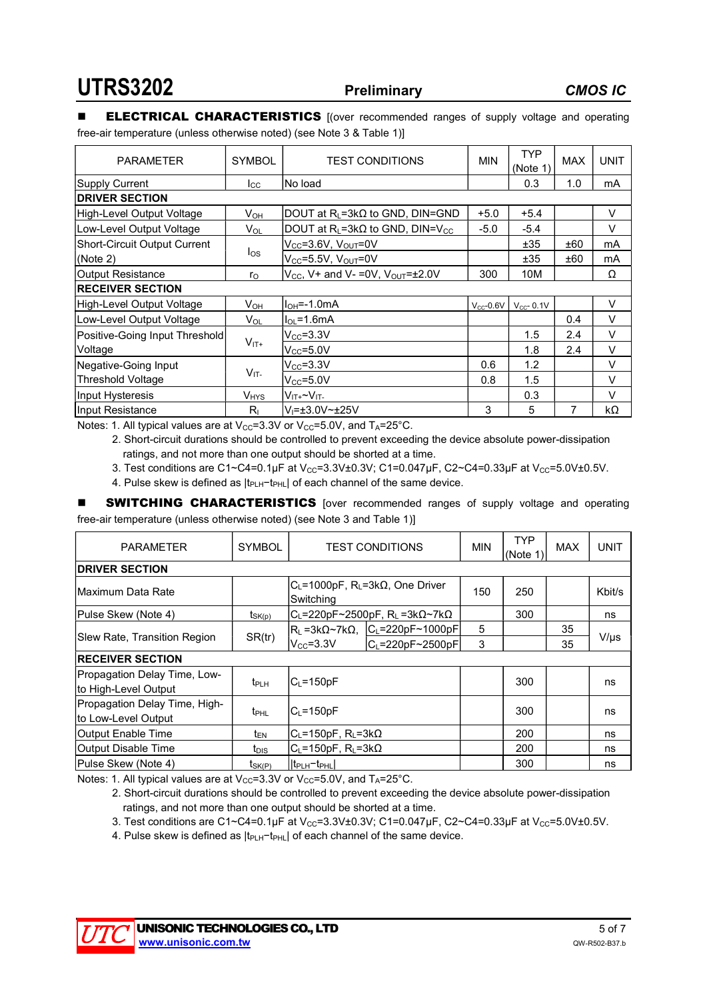#### **ELECTRICAL CHARACTERISTICS** [(over recommended ranges of supply voltage and operating free-air temperature (unless otherwise noted) (see Note 3 & Table 1)]

| <b>PARAMETER</b>               | <b>SYMBOL</b> | <b>MIN</b><br><b>TEST CONDITIONS</b>                 |                | <b>TYP</b><br>(Note 1) | <b>MAX</b> | <b>UNIT</b> |
|--------------------------------|---------------|------------------------------------------------------|----------------|------------------------|------------|-------------|
| Supply Current                 | $_{\rm lcc}$  | lNo load                                             |                | 0.3                    | 1.0        | mA          |
| <b>DRIVER SECTION</b>          |               |                                                      |                |                        |            |             |
| High-Level Output Voltage      | $V_{OH}$      | DOUT at $R_L = 3k\Omega$ to GND, DIN=GND             | $+5.0$         | $+5.4$                 |            | V           |
| Low-Level Output Voltage       | $V_{OL}$      | DOUT at $R_L = 3k\Omega$ to GND, DIN=V <sub>CC</sub> | $-5.0$         | $-5.4$                 |            | $\vee$      |
| Short-Circuit Output Current   |               | $V_{CC} = 3.6V$ , $V_{OUT} = 0V$                     |                | ±35                    | ±60        | mA          |
| (Note 2)                       | $I_{OS}$      | $V_{CC}$ =5.5V, $V_{OUT}$ =0V                        |                | ±35                    | ±60        | mA          |
| Output Resistance              | $r_{\rm O}$   | $V_{CC}$ , V+ and V- = 0V, $V_{OUT}$ = $\pm$ 2.0V    | 300            | 10M                    |            | Ω           |
| <b>RECEIVER SECTION</b>        |               |                                                      |                |                        |            |             |
| High-Level Output Voltage      | $V_{OH}$      | I <sub>OH</sub> =-1.0mA                              | $V_{CC}$ -0.6V | $V_{CC}$ - 0.1V        |            | V           |
| Low-Level Output Voltage       | $V_{OL}$      | $I_{OL} = 1.6$ mA                                    |                |                        | 0.4        | V           |
| Positive-Going Input Threshold |               | $V_{CC} = 3.3V$                                      |                | 1.5                    | 2.4        | $\vee$      |
| Voltage                        | $V_{IT+}$     | $V_{CC} = 5.0V$                                      |                | 1.8                    | 2.4        | V           |
| Negative-Going Input           |               | $V_{CC} = 3.3V$                                      | 0.6            | 1.2                    |            | V           |
| <b>Threshold Voltage</b>       | $V_{IT}$      | $V_{CC} = 5.0V$                                      | 0.8            | 1.5                    |            | V           |
| Input Hysteresis               | $V_{HYS}$     | $V_{IT+}$ ~ $V_{IT-}$                                |                | 0.3                    |            | V           |
| Input Resistance               | $R_{\perp}$   | $V = \pm 3.0 V \approx 25 V$                         | 3              | 5                      |            | kΩ          |

Notes: 1. All typical values are at  $V_{CC}=3.3V$  or  $V_{CC}=5.0V$ , and  $T_A=25^{\circ}C$ .

2. Short-circuit durations should be controlled to prevent exceeding the device absolute power-dissipation ratings, and not more than one output should be shorted at a time.

3. Test conditions are C1~C4=0.1µF at V<sub>CC</sub>=3.3V±0.3V; C1=0.047µF, C2~C4=0.33µF at V<sub>CC</sub>=5.0V±0.5V.

4. Pulse skew is defined as |t<sub>PLH</sub>-t<sub>PHL</sub>| of each channel of the same device.

**SWITCHING CHARACTERISTICS** [over recommended ranges of supply voltage and operating free-air temperature (unless otherwise noted) (see Note 3 and Table 1)]

| <b>PARAMETER</b>                                     | <b>SYMBOL</b>    | <b>TEST CONDITIONS</b>                                               |                                                   | <b>MIN</b> | <b>TYP</b><br>(Note 1) | <b>MAX</b> | <b>UNIT</b> |
|------------------------------------------------------|------------------|----------------------------------------------------------------------|---------------------------------------------------|------------|------------------------|------------|-------------|
| <b>DRIVER SECTION</b>                                |                  |                                                                      |                                                   |            |                        |            |             |
| Maximum Data Rate                                    |                  | $C_L$ =1000pF, R <sub>L</sub> =3k $\Omega$ , One Driver<br>Switching |                                                   | 150        | 250                    |            | Kbit/s      |
| Pulse Skew (Note 4)                                  | $t_{SK(p)}$      |                                                                      | $C_L$ =220pF~2500pF, RL =3k $\Omega$ ~7k $\Omega$ |            | 300                    |            | ns          |
|                                                      | SR(tr)           |                                                                      | R∟=3kΩ~7kΩ,  C∟=220pF~1000pF                      | 5          |                        | 35         |             |
| Slew Rate, Transition Region                         |                  | $V_{CC} = 3.3V$                                                      | $ C_L = 220pF - 2500pF $                          | 3          |                        | 35         | $V/\mu s$   |
| <b>RECEIVER SECTION</b>                              |                  |                                                                      |                                                   |            |                        |            |             |
| Propagation Delay Time, Low-<br>to High-Level Output | $t_{PLH}$        | $C_{L} = 150pF$                                                      |                                                   |            | 300                    |            | ns          |
| Propagation Delay Time, High-<br>to Low-Level Output | $t_{\text{PHL}}$ | lC∟=150pF                                                            |                                                   |            | 300                    |            | ns          |
| Output Enable Time                                   | t <sub>EN</sub>  | $ C_L$ =150pF, R <sub>L</sub> =3k $\Omega$                           |                                                   |            | 200                    |            | ns          |
| Output Disable Time                                  | t <sub>DIS</sub> | $C_L = 150pF$ , $R_L = 3k\Omega$                                     |                                                   |            | 200                    |            | ns          |
| Pulse Skew (Note 4)                                  | $t_{SK(P)}$      | It <sub>PLH</sub> -t <sub>PHL</sub>                                  |                                                   |            | 300                    |            | ns          |

Notes: 1. All typical values are at  $V_{CC}=3.3V$  or  $V_{CC}=5.0V$ , and  $T_A=25^{\circ}C$ .

- 2. Short-circuit durations should be controlled to prevent exceeding the device absolute power-dissipation ratings, and not more than one output should be shorted at a time.
- 3. Test conditions are C1~C4=0.1µF at V<sub>CC</sub>=3.3V±0.3V; C1=0.047µF, C2~C4=0.33µF at V<sub>CC</sub>=5.0V±0.5V.

4. Pulse skew is defined as |t<sub>PLH</sub>-t<sub>PHL</sub>| of each channel of the same device.

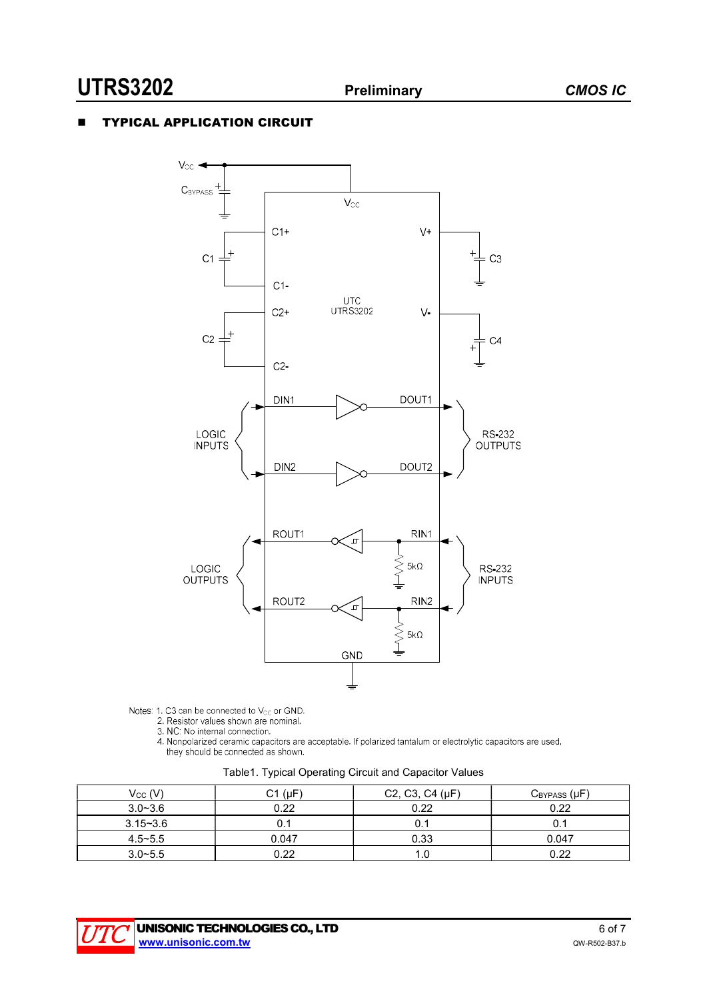### TYPICAL APPLICATION CIRCUIT



Notes: 1. C3 can be connected to  $V_{CC}$  or GND.<br>
2. Resistor values shown are nominal.<br>
3. NC: No internal connection.<br>
4. Nonpolarized ceramic capacitors are acceptable. If polarized tantalum or electrolytic capacitors a they should be connected as shown.

| Table1. Typical Operating Circuit and Capacitor Values |  |  |  |
|--------------------------------------------------------|--|--|--|
|--------------------------------------------------------|--|--|--|

| $V_{CC} (V)$ | $C1$ ( $\mu$ F) | C <sub>2</sub> , C <sub>3</sub> , C <sub>4</sub> ( $\mu$ F) | $C_{BYPASS}(\mu F)$ |
|--------------|-----------------|-------------------------------------------------------------|---------------------|
| $3.0 - 3.6$  | 0.22            | 0.22                                                        | 0.22                |
| $3.15 - 3.6$ |                 | 0.:                                                         |                     |
| $4.5 - 5.5$  | 0.047           | 0.33                                                        | 0.047               |
| $3.0 - 5.5$  | 0.22            | 1.0                                                         | 0.22                |